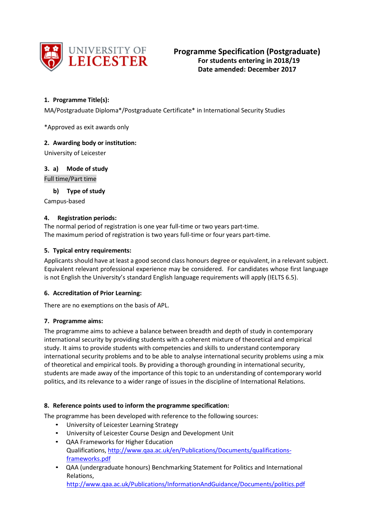

# **1. Programme Title(s):**

MA/Postgraduate Diploma\*/Postgraduate Certificate\* in International Security Studies

\*Approved as exit awards only

### **2. Awarding body or institution:**

University of Leicester

### **3. a) Mode of study**

Full time/Part time

**b) Type of study**

Campus-based

### **4. Registration periods:**

The normal period of registration is one year full-time or two years part-time. The maximum period of registration is two years full-time or four years part-time.

### **5. Typical entry requirements:**

Applicants should have at least a good second class honours degree or equivalent, in a relevant subject. Equivalent relevant professional experience may be considered. For candidates whose first language is not English the University's standard English language requirements will apply (IELTS 6.5).

## **6. Accreditation of Prior Learning:**

There are no exemptions on the basis of APL.

## **7. Programme aims:**

The programme aims to achieve a balance between breadth and depth of study in contemporary international security by providing students with a coherent mixture of theoretical and empirical study. It aims to provide students with competencies and skills to understand contemporary international security problems and to be able to analyse international security problems using a mix of theoretical and empirical tools. By providing a thorough grounding in international security, students are made away of the importance of this topic to an understanding of contemporary world politics, and its relevance to a wider range of issues in the discipline of International Relations.

## **8. Reference points used to inform the programme specification:**

The programme has been developed with reference to the following sources:

- University of Leicester Learning Strategy
- University of Leicester Course Design and Development Unit
- QAA Frameworks for Higher Education Qualifications[, http://www.qaa.ac.uk/en/Publications/Documents/qualifications](http://www.qaa.ac.uk/en/Publications/Documents/qualifications-frameworks.pdf)[frameworks.pdf](http://www.qaa.ac.uk/en/Publications/Documents/qualifications-frameworks.pdf)
- QAA (undergraduate honours) Benchmarking Statement for Politics and International Relations,

<http://www.qaa.ac.uk/Publications/InformationAndGuidance/Documents/politics.pdf>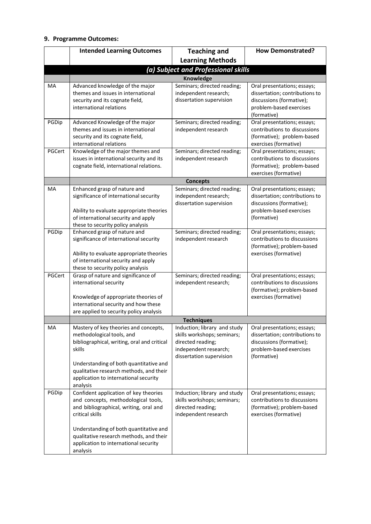### **9. Programme Outcomes:**

|        | <b>Intended Learning Outcomes</b>                                                                                                                                                                                                                                                   | <b>Teaching and</b>                                                                                                                   | <b>How Demonstrated?</b>                                                                                                            |  |
|--------|-------------------------------------------------------------------------------------------------------------------------------------------------------------------------------------------------------------------------------------------------------------------------------------|---------------------------------------------------------------------------------------------------------------------------------------|-------------------------------------------------------------------------------------------------------------------------------------|--|
|        |                                                                                                                                                                                                                                                                                     | <b>Learning Methods</b>                                                                                                               |                                                                                                                                     |  |
|        | (a) Subject and Professional skills                                                                                                                                                                                                                                                 |                                                                                                                                       |                                                                                                                                     |  |
|        | <b>Knowledge</b>                                                                                                                                                                                                                                                                    |                                                                                                                                       |                                                                                                                                     |  |
| MA     | Advanced knowledge of the major<br>themes and issues in international<br>security and its cognate field,<br>international relations                                                                                                                                                 | Seminars; directed reading;<br>independent research;<br>dissertation supervision                                                      | Oral presentations; essays;<br>dissertation; contributions to<br>discussions (formative);<br>problem-based exercises<br>(formative) |  |
| PGDip  | Advanced Knowledge of the major<br>themes and issues in international<br>security and its cognate field,<br>international relations                                                                                                                                                 | Seminars; directed reading;<br>independent research                                                                                   | Oral presentations; essays;<br>contributions to discussions<br>(formative); problem-based<br>exercises (formative)                  |  |
| PGCert | Knowledge of the major themes and<br>issues in international security and its<br>cognate field, international relations.                                                                                                                                                            | Seminars; directed reading;<br>independent research                                                                                   | Oral presentations; essays;<br>contributions to discussions<br>(formative); problem-based<br>exercises (formative)                  |  |
|        |                                                                                                                                                                                                                                                                                     | <b>Concepts</b>                                                                                                                       |                                                                                                                                     |  |
| MA     | Enhanced grasp of nature and<br>significance of international security<br>Ability to evaluate appropriate theories<br>of international security and apply<br>these to security policy analysis                                                                                      | Seminars; directed reading;<br>independent research;<br>dissertation supervision                                                      | Oral presentations; essays;<br>dissertation; contributions to<br>discussions (formative);<br>problem-based exercises<br>(formative) |  |
| PGDip  | Enhanced grasp of nature and<br>significance of international security<br>Ability to evaluate appropriate theories<br>of international security and apply<br>these to security policy analysis                                                                                      | Seminars; directed reading;<br>independent research                                                                                   | Oral presentations; essays;<br>contributions to discussions<br>(formative); problem-based<br>exercises (formative)                  |  |
| PGCert | Grasp of nature and significance of<br>international security<br>Knowledge of appropriate theories of<br>international security and how these<br>are applied to security policy analysis                                                                                            | Seminars; directed reading;<br>independent research;                                                                                  | Oral presentations; essays;<br>contributions to discussions<br>(formative); problem-based<br>exercises (formative)                  |  |
|        | <b>Techniques</b>                                                                                                                                                                                                                                                                   |                                                                                                                                       |                                                                                                                                     |  |
| MA     | Mastery of key theories and concepts,<br>methodological tools, and<br>bibliographical, writing, oral and critical<br>skills<br>Understanding of both quantitative and<br>qualitative research methods, and their<br>application to international security<br>analysis               | Induction; library and study<br>skills workshops; seminars;<br>directed reading;<br>independent research;<br>dissertation supervision | Oral presentations; essays;<br>dissertation; contributions to<br>discussions (formative);<br>problem-based exercises<br>(formative) |  |
| PGDip  | Confident application of key theories<br>and concepts, methodological tools,<br>and bibliographical, writing, oral and<br>critical skills<br>Understanding of both quantitative and<br>qualitative research methods, and their<br>application to international security<br>analysis | Induction; library and study<br>skills workshops; seminars;<br>directed reading;<br>independent research                              | Oral presentations; essays;<br>contributions to discussions<br>(formative); problem-based<br>exercises (formative)                  |  |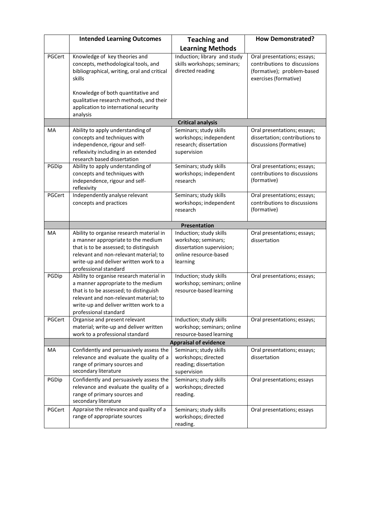|        | <b>Intended Learning Outcomes</b>                                                                                                                                                                                                     | <b>Teaching and</b>                                                                                              | <b>How Demonstrated?</b>                                                                                           |  |
|--------|---------------------------------------------------------------------------------------------------------------------------------------------------------------------------------------------------------------------------------------|------------------------------------------------------------------------------------------------------------------|--------------------------------------------------------------------------------------------------------------------|--|
|        |                                                                                                                                                                                                                                       | <b>Learning Methods</b>                                                                                          |                                                                                                                    |  |
| PGCert | Knowledge of key theories and<br>concepts, methodological tools, and<br>bibliographical, writing, oral and critical<br>skills                                                                                                         | Induction; library and study<br>skills workshops; seminars;<br>directed reading                                  | Oral presentations; essays;<br>contributions to discussions<br>(formative); problem-based<br>exercises (formative) |  |
|        | Knowledge of both quantitative and<br>qualitative research methods, and their<br>application to international security<br>analysis                                                                                                    |                                                                                                                  |                                                                                                                    |  |
|        |                                                                                                                                                                                                                                       | <b>Critical analysis</b>                                                                                         |                                                                                                                    |  |
| MA     | Ability to apply understanding of<br>concepts and techniques with<br>independence, rigour and self-<br>reflexivity including in an extended<br>research based dissertation                                                            | Seminars; study skills<br>workshops; independent<br>research; dissertation<br>supervision                        | Oral presentations; essays;<br>dissertation; contributions to<br>discussions (formative)                           |  |
| PGDip  | Ability to apply understanding of<br>concepts and techniques with<br>independence, rigour and self-<br>reflexivity                                                                                                                    | Seminars; study skills<br>workshops; independent<br>research                                                     | Oral presentations; essays;<br>contributions to discussions<br>(formative)                                         |  |
| PGCert | Independently analyse relevant<br>concepts and practices                                                                                                                                                                              | Seminars; study skills<br>workshops; independent<br>research                                                     | Oral presentations; essays;<br>contributions to discussions<br>(formative)                                         |  |
|        | Presentation                                                                                                                                                                                                                          |                                                                                                                  |                                                                                                                    |  |
| MA     | Ability to organise research material in<br>a manner appropriate to the medium<br>that is to be assessed; to distinguish<br>relevant and non-relevant material; to<br>write-up and deliver written work to a<br>professional standard | Induction; study skills<br>workshop; seminars;<br>dissertation supervision;<br>online resource-based<br>learning | Oral presentations; essays;<br>dissertation                                                                        |  |
| PGDip  | Ability to organise research material in<br>a manner appropriate to the medium<br>that is to be assessed; to distinguish<br>relevant and non-relevant material; to<br>write-up and deliver written work to a<br>professional standard | Induction; study skills<br>workshop; seminars; online<br>resource-based learning                                 | Oral presentations; essays;                                                                                        |  |
| PGCert | Organise and present relevant<br>material; write-up and deliver written<br>work to a professional standard                                                                                                                            | Induction; study skills<br>workshop; seminars; online<br>resource-based learning                                 | Oral presentations; essays;                                                                                        |  |
|        | <b>Appraisal of evidence</b>                                                                                                                                                                                                          |                                                                                                                  |                                                                                                                    |  |
| MA     | Confidently and persuasively assess the<br>relevance and evaluate the quality of a<br>range of primary sources and<br>secondary literature                                                                                            | Seminars; study skills<br>workshops; directed<br>reading; dissertation<br>supervision                            | Oral presentations; essays;<br>dissertation                                                                        |  |
| PGDip  | Confidently and persuasively assess the<br>relevance and evaluate the quality of a<br>range of primary sources and<br>secondary literature                                                                                            | Seminars; study skills<br>workshops; directed<br>reading.                                                        | Oral presentations; essays                                                                                         |  |
| PGCert | Appraise the relevance and quality of a<br>range of appropriate sources                                                                                                                                                               | Seminars; study skills<br>workshops; directed<br>reading.                                                        | Oral presentations; essays                                                                                         |  |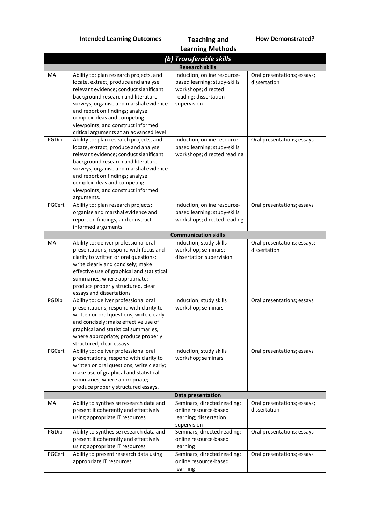|        | <b>Intended Learning Outcomes</b>                                                                                                                                                                                                                                                                                                                            | <b>Teaching and</b>                                                                                                        | <b>How Demonstrated?</b>                    |  |
|--------|--------------------------------------------------------------------------------------------------------------------------------------------------------------------------------------------------------------------------------------------------------------------------------------------------------------------------------------------------------------|----------------------------------------------------------------------------------------------------------------------------|---------------------------------------------|--|
|        |                                                                                                                                                                                                                                                                                                                                                              | <b>Learning Methods</b>                                                                                                    |                                             |  |
|        | (b) Transferable skills                                                                                                                                                                                                                                                                                                                                      |                                                                                                                            |                                             |  |
|        | <b>Research skills</b>                                                                                                                                                                                                                                                                                                                                       |                                                                                                                            |                                             |  |
| MA     | Ability to: plan research projects, and<br>locate, extract, produce and analyse<br>relevant evidence; conduct significant<br>background research and literature<br>surveys; organise and marshal evidence<br>and report on findings; analyse<br>complex ideas and competing<br>viewpoints; and construct informed<br>critical arguments at an advanced level | Induction; online resource-<br>based learning; study-skills<br>workshops; directed<br>reading; dissertation<br>supervision | Oral presentations; essays;<br>dissertation |  |
| PGDip  | Ability to: plan research projects, and<br>locate, extract, produce and analyse<br>relevant evidence; conduct significant<br>background research and literature<br>surveys; organise and marshal evidence<br>and report on findings; analyse<br>complex ideas and competing<br>viewpoints; and construct informed<br>arguments.                              | Induction; online resource-<br>based learning; study-skills<br>workshops; directed reading                                 | Oral presentations; essays                  |  |
| PGCert | Ability to: plan research projects;<br>organise and marshal evidence and<br>report on findings; and construct<br>informed arguments                                                                                                                                                                                                                          | Induction; online resource-<br>based learning; study-skills<br>workshops; directed reading                                 | Oral presentations; essays                  |  |
|        |                                                                                                                                                                                                                                                                                                                                                              | <b>Communication skills</b>                                                                                                |                                             |  |
| MA     | Ability to: deliver professional oral<br>presentations; respond with focus and<br>clarity to written or oral questions;<br>write clearly and concisely; make<br>effective use of graphical and statistical<br>summaries, where appropriate;<br>produce properly structured, clear<br>essays and dissertations                                                | Induction; study skills<br>workshop; seminars;<br>dissertation supervision                                                 | Oral presentations; essays;<br>dissertation |  |
| PGDip  | Ability to: deliver professional oral<br>presentations; respond with clarity to<br>written or oral questions; write clearly<br>and concisely; make effective use of<br>graphical and statistical summaries,<br>where appropriate; produce properly<br>structured, clear essays.                                                                              | Induction; study skills<br>workshop; seminars                                                                              | Oral presentations; essays                  |  |
| PGCert | Ability to: deliver professional oral<br>presentations; respond with clarity to<br>written or oral questions; write clearly;<br>make use of graphical and statistical<br>summaries, where appropriate;<br>produce properly structured essays.                                                                                                                | Induction; study skills<br>workshop; seminars                                                                              | Oral presentations; essays                  |  |
|        | Data presentation                                                                                                                                                                                                                                                                                                                                            |                                                                                                                            |                                             |  |
| MA     | Ability to synthesise research data and<br>present it coherently and effectively<br>using appropriate IT resources                                                                                                                                                                                                                                           | Seminars; directed reading;<br>online resource-based<br>learning; dissertation<br>supervision                              | Oral presentations; essays;<br>dissertation |  |
| PGDip  | Ability to synthesise research data and<br>present it coherently and effectively<br>using appropriate IT resources                                                                                                                                                                                                                                           | Seminars; directed reading;<br>online resource-based<br>learning                                                           | Oral presentations; essays                  |  |
| PGCert | Ability to present research data using<br>appropriate IT resources                                                                                                                                                                                                                                                                                           | Seminars; directed reading;<br>online resource-based<br>learning                                                           | Oral presentations; essays                  |  |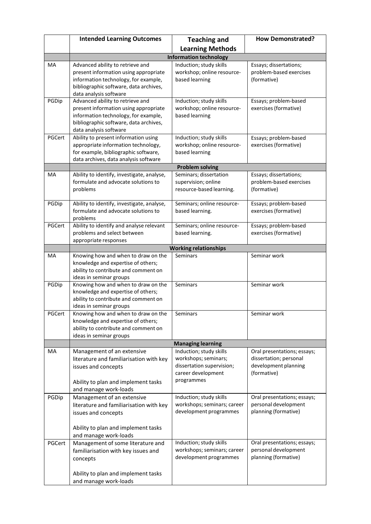|        | <b>Intended Learning Outcomes</b>                                                                                                                                                                               | <b>Teaching and</b>                                                                                              | <b>How Demonstrated?</b>                                                                     |  |  |
|--------|-----------------------------------------------------------------------------------------------------------------------------------------------------------------------------------------------------------------|------------------------------------------------------------------------------------------------------------------|----------------------------------------------------------------------------------------------|--|--|
|        |                                                                                                                                                                                                                 | <b>Learning Methods</b>                                                                                          |                                                                                              |  |  |
|        | <b>Information technology</b>                                                                                                                                                                                   |                                                                                                                  |                                                                                              |  |  |
| MA     | Advanced ability to retrieve and<br>present information using appropriate<br>information technology, for example,<br>bibliographic software, data archives,                                                     | Induction; study skills<br>workshop; online resource-<br>based learning                                          | Essays; dissertations;<br>problem-based exercises<br>(formative)                             |  |  |
| PGDip  | data analysis software<br>Advanced ability to retrieve and<br>present information using appropriate<br>information technology, for example,<br>bibliographic software, data archives,<br>data analysis software | Induction; study skills<br>workshop; online resource-<br>based learning                                          | Essays; problem-based<br>exercises (formative)                                               |  |  |
| PGCert | Ability to present information using<br>appropriate information technology,<br>for example, bibliographic software,<br>data archives, data analysis software                                                    | Induction; study skills<br>workshop; online resource-<br>based learning                                          | Essays; problem-based<br>exercises (formative)                                               |  |  |
|        |                                                                                                                                                                                                                 | <b>Problem solving</b>                                                                                           |                                                                                              |  |  |
| MA     | Ability to identify, investigate, analyse,<br>formulate and advocate solutions to<br>problems                                                                                                                   | Seminars; dissertation<br>supervision; online<br>resource-based learning.                                        | Essays; dissertations;<br>problem-based exercises<br>(formative)                             |  |  |
| PGDip  | Ability to identify, investigate, analyse,<br>formulate and advocate solutions to<br>problems                                                                                                                   | Seminars; online resource-<br>based learning.                                                                    | Essays; problem-based<br>exercises (formative)                                               |  |  |
| PGCert | Ability to identify and analyse relevant<br>problems and select between<br>appropriate responses                                                                                                                | Seminars; online resource-<br>based learning.                                                                    | Essays; problem-based<br>exercises (formative)                                               |  |  |
|        |                                                                                                                                                                                                                 | <b>Working relationships</b>                                                                                     |                                                                                              |  |  |
| MA     | Knowing how and when to draw on the<br>knowledge and expertise of others;<br>ability to contribute and comment on<br>ideas in seminar groups                                                                    | <b>Seminars</b>                                                                                                  | Seminar work                                                                                 |  |  |
| PGDip  | Knowing how and when to draw on the<br>knowledge and expertise of others;<br>ability to contribute and comment on<br>ideas in seminar groups                                                                    | Seminars                                                                                                         | Seminar work                                                                                 |  |  |
| PGCert | Knowing how and when to draw on the<br>knowledge and expertise of others;<br>ability to contribute and comment on<br>ideas in seminar groups                                                                    | Seminars                                                                                                         | Seminar work                                                                                 |  |  |
|        |                                                                                                                                                                                                                 | <b>Managing learning</b>                                                                                         |                                                                                              |  |  |
| MA     | Management of an extensive<br>literature and familiarisation with key<br>issues and concepts<br>Ability to plan and implement tasks<br>and manage work-loads                                                    | Induction; study skills<br>workshops; seminars;<br>dissertation supervision;<br>career development<br>programmes | Oral presentations; essays;<br>dissertation; personal<br>development planning<br>(formative) |  |  |
| PGDip  | Management of an extensive<br>literature and familiarisation with key<br>issues and concepts<br>Ability to plan and implement tasks<br>and manage work-loads                                                    | Induction; study skills<br>workshops; seminars; career<br>development programmes                                 | Oral presentations; essays;<br>personal development<br>planning (formative)                  |  |  |
| PGCert | Management of some literature and<br>familiarisation with key issues and<br>concepts<br>Ability to plan and implement tasks<br>and manage work-loads                                                            | Induction; study skills<br>workshops; seminars; career<br>development programmes                                 | Oral presentations; essays;<br>personal development<br>planning (formative)                  |  |  |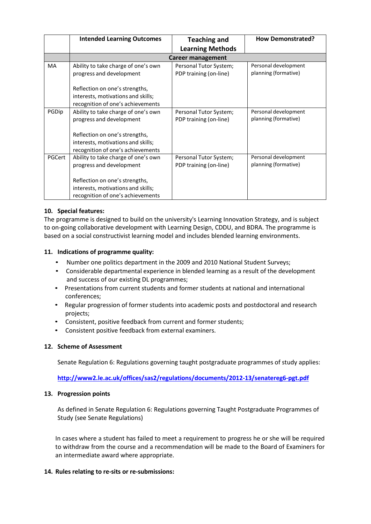|           | <b>Intended Learning Outcomes</b>   | <b>Teaching and</b>     | <b>How Demonstrated?</b> |  |
|-----------|-------------------------------------|-------------------------|--------------------------|--|
|           |                                     | <b>Learning Methods</b> |                          |  |
|           | Career management                   |                         |                          |  |
| <b>MA</b> | Ability to take charge of one's own | Personal Tutor System;  | Personal development     |  |
|           | progress and development            | PDP training (on-line)  | planning (formative)     |  |
|           | Reflection on one's strengths,      |                         |                          |  |
|           | interests, motivations and skills;  |                         |                          |  |
|           | recognition of one's achievements   |                         |                          |  |
| PGDip     | Ability to take charge of one's own | Personal Tutor System;  | Personal development     |  |
|           | progress and development            | PDP training (on-line)  | planning (formative)     |  |
|           | Reflection on one's strengths,      |                         |                          |  |
|           | interests, motivations and skills;  |                         |                          |  |
|           | recognition of one's achievements   |                         |                          |  |
| PGCert    | Ability to take charge of one's own | Personal Tutor System;  | Personal development     |  |
|           | progress and development            | PDP training (on-line)  | planning (formative)     |  |
|           |                                     |                         |                          |  |
|           | Reflection on one's strengths,      |                         |                          |  |
|           | interests, motivations and skills;  |                         |                          |  |
|           | recognition of one's achievements   |                         |                          |  |

### **10. Special features:**

The programme is designed to build on the university's Learning Innovation Strategy, and is subject to on-going collaborative development with Learning Design, CDDU, and BDRA. The programme is based on a social constructivist learning model and includes blended learning environments.

#### **11. Indications of programme quality:**

- Number one politics department in the 2009 and 2010 National Student Surveys;
- Considerable departmental experience in blended learning as a result of the development and success of our existing DL programmes;
- Presentations from current students and former students at national and international conferences;
- Regular progression of former students into academic posts and postdoctoral and research projects;
- Consistent, positive feedback from current and former students;
- Consistent positive feedback from external examiners.

#### **12. Scheme of Assessment**

Senate Regulation 6: Regulations governing taught postgraduate programmes of study applies:

**<http://www2.le.ac.uk/offices/sas2/regulations/documents/2012-13/senatereg6-pgt.pdf>**

#### **13. Progression points**

As defined in Senate Regulation 6: Regulations governing Taught Postgraduate Programmes of Study (see Senate Regulations)

In cases where a student has failed to meet a requirement to progress he or she will be required to withdraw from the course and a recommendation will be made to the Board of Examiners for an intermediate award where appropriate.

#### **14. Rules relating to re-sits or re-submissions:**